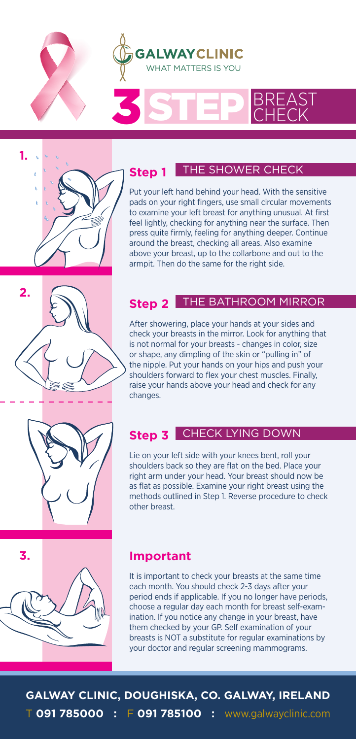

### SSTEP BREAST **STEP**

## **1.**

**Step 1**

### THE SHOWER CHECK

Put your left hand behind your head. With the sensitive pads on your right fingers, use small circular movements to examine your left breast for anything unusual. At first feel lightly, checking for anything near the surface. Then press quite firmly, feeling for anything deeper. Continue around the breast, checking all areas. Also examine above your breast, up to the collarbone and out to the armpit. Then do the same for the right side.

### **2.**

### **Step 2** THE BATHROOM MIRROR

After showering, place your hands at your sides and check your breasts in the mirror. Look for anything that is not normal for your breasts - changes in color, size or shape, any dimpling of the skin or "pulling in" of the nipple. Put your hands on your hips and push your shoulders forward to flex your chest muscles. Finally, raise your hands above your head and check for any changes.

### **Step 3** CHECK LYING DOWN

Lie on your left side with your knees bent, roll your shoulders back so they are flat on the bed. Place your right arm under your head. Your breast should now be as flat as possible. Examine your right breast using the methods outlined in Step 1. Reverse procedure to check other breast.

# **3.**

### **Important**

It is important to check your breasts at the same time each month. You should check 2-3 days after your period ends if applicable. If you no longer have periods, choose a regular day each month for breast self-examination. If you notice any change in your breast, have them checked by your GP. Self examination of your breasts is NOT a substitute for regular examinations by your doctor and regular screening mammograms.

**GALWAY CLINIC, DOUGHISKA, CO. GALWAY, IRELAND** T **091 785000 :** F **091 785100 :** www.galwayclinic.com